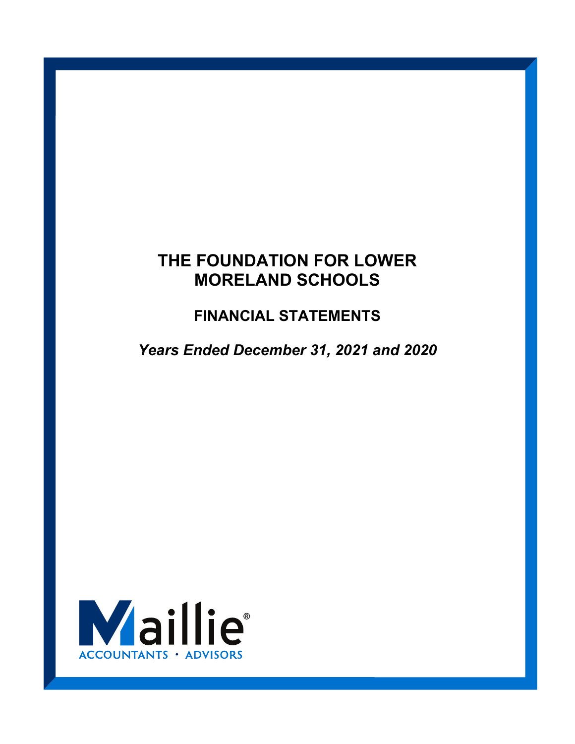# **FINANCIAL STATEMENTS**

*Years Ended December 31, 2021 and 2020*

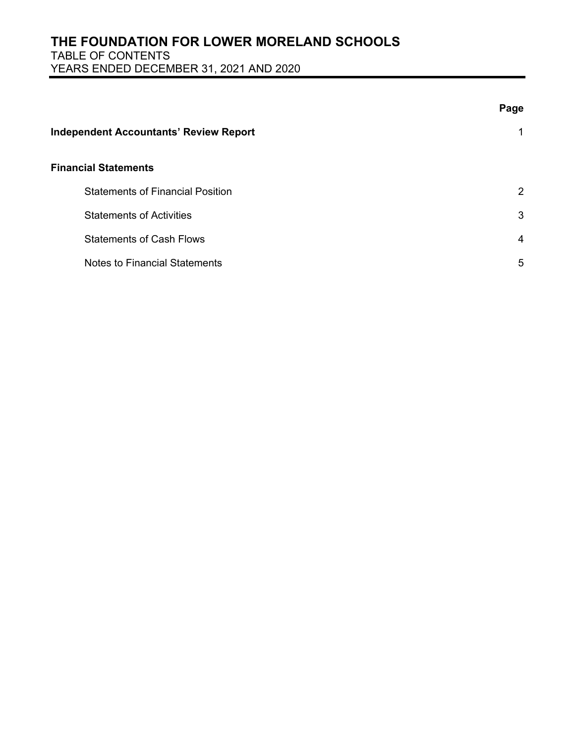## **THE FOUNDATION FOR LOWER MORELAND SCHOOLS**  TABLE OF CONTENTS YEARS ENDED DECEMBER 31, 2021 AND 2020

|                                               | Page |
|-----------------------------------------------|------|
| <b>Independent Accountants' Review Report</b> | 1    |
| <b>Financial Statements</b>                   |      |
| <b>Statements of Financial Position</b>       | 2    |
| <b>Statements of Activities</b>               | 3    |
| <b>Statements of Cash Flows</b>               | 4    |
| <b>Notes to Financial Statements</b>          | 5    |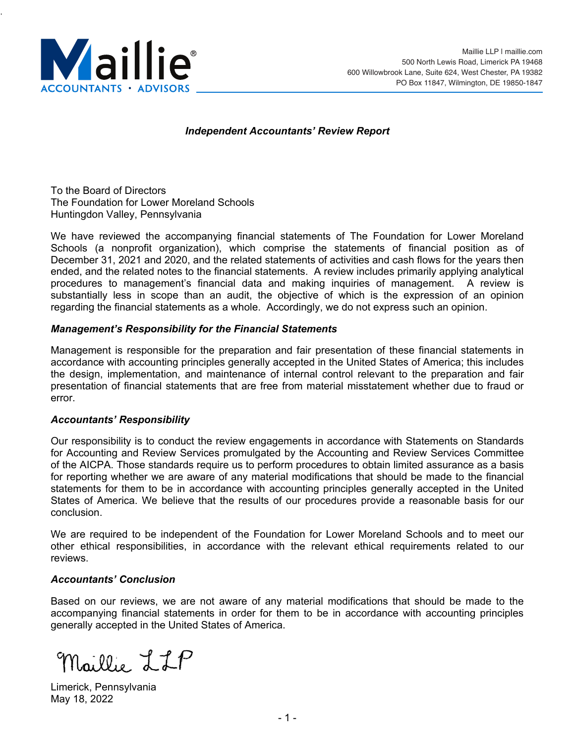

#### *Independent Accountants' Review Report*

To the Board of Directors The Foundation for Lower Moreland Schools Huntingdon Valley, Pennsylvania

We have reviewed the accompanying financial statements of The Foundation for Lower Moreland Schools (a nonprofit organization), which comprise the statements of financial position as of December 31, 2021 and 2020, and the related statements of activities and cash flows for the years then ended, and the related notes to the financial statements. A review includes primarily applying analytical procedures to management's financial data and making inquiries of management. A review is substantially less in scope than an audit, the objective of which is the expression of an opinion regarding the financial statements as a whole. Accordingly, we do not express such an opinion.

#### *Management's Responsibility for the Financial Statements*

Management is responsible for the preparation and fair presentation of these financial statements in accordance with accounting principles generally accepted in the United States of America; this includes the design, implementation, and maintenance of internal control relevant to the preparation and fair presentation of financial statements that are free from material misstatement whether due to fraud or error.

#### *Accountants' Responsibility*

Our responsibility is to conduct the review engagements in accordance with Statements on Standards for Accounting and Review Services promulgated by the Accounting and Review Services Committee of the AICPA. Those standards require us to perform procedures to obtain limited assurance as a basis for reporting whether we are aware of any material modifications that should be made to the financial statements for them to be in accordance with accounting principles generally accepted in the United States of America. We believe that the results of our procedures provide a reasonable basis for our conclusion.

We are required to be independent of the Foundation for Lower Moreland Schools and to meet our other ethical responsibilities, in accordance with the relevant ethical requirements related to our reviews.

#### *Accountants' Conclusion*

Based on our reviews, we are not aware of any material modifications that should be made to the accompanying financial statements in order for them to be in accordance with accounting principles generally accepted in the United States of America.

Maillie LLP

Limerick, Pennsylvania May 18, 2022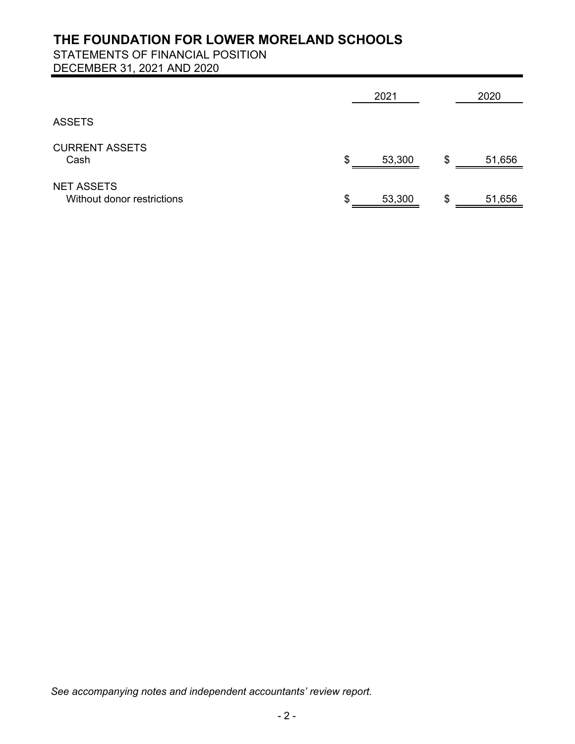# STATEMENTS OF FINANCIAL POSITION

DECEMBER 31, 2021 AND 2020

|                                                 | 2021         | 2020         |
|-------------------------------------------------|--------------|--------------|
| <b>ASSETS</b>                                   |              |              |
| <b>CURRENT ASSETS</b><br>Cash                   | \$<br>53,300 | \$<br>51,656 |
| <b>NET ASSETS</b><br>Without donor restrictions | \$<br>53,300 | \$<br>51,656 |

*See accompanying notes and independent accountants' review report.*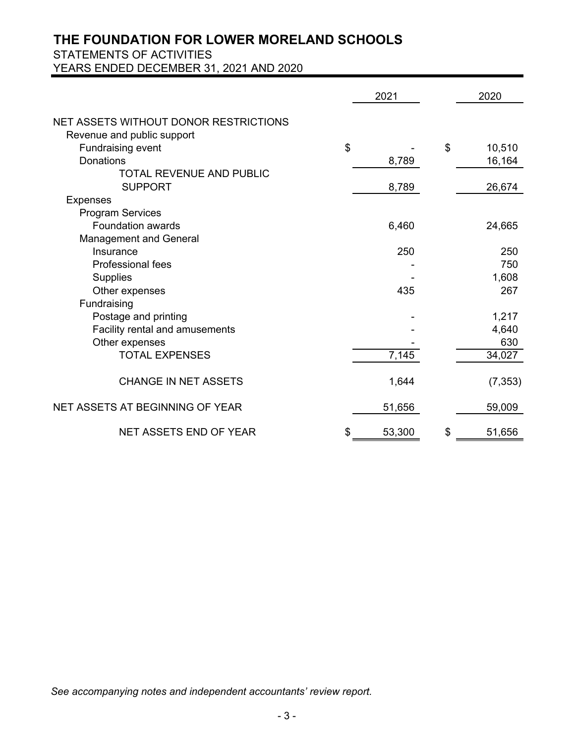### STATEMENTS OF ACTIVITIES

YEARS ENDED DECEMBER 31, 2021 AND 2020

|                                                                     | 2021 |        | 2020 |          |
|---------------------------------------------------------------------|------|--------|------|----------|
| NET ASSETS WITHOUT DONOR RESTRICTIONS<br>Revenue and public support |      |        |      |          |
|                                                                     | \$   |        | \$   | 10,510   |
| Fundraising event<br>Donations                                      |      |        |      |          |
|                                                                     |      | 8,789  |      | 16,164   |
| <b>TOTAL REVENUE AND PUBLIC</b>                                     |      |        |      |          |
| <b>SUPPORT</b>                                                      |      | 8,789  |      | 26,674   |
| <b>Expenses</b>                                                     |      |        |      |          |
| <b>Program Services</b>                                             |      |        |      |          |
| <b>Foundation awards</b>                                            |      | 6,460  |      | 24,665   |
| <b>Management and General</b>                                       |      |        |      |          |
| Insurance                                                           |      | 250    |      | 250      |
| <b>Professional fees</b>                                            |      |        |      | 750      |
| <b>Supplies</b>                                                     |      |        |      | 1,608    |
| Other expenses                                                      |      | 435    |      | 267      |
| Fundraising                                                         |      |        |      |          |
| Postage and printing                                                |      |        |      | 1,217    |
| Facility rental and amusements                                      |      |        |      | 4,640    |
| Other expenses                                                      |      |        |      | 630      |
| <b>TOTAL EXPENSES</b>                                               |      | 7,145  |      | 34,027   |
|                                                                     |      |        |      |          |
| <b>CHANGE IN NET ASSETS</b>                                         |      | 1,644  |      | (7, 353) |
| NET ASSETS AT BEGINNING OF YEAR                                     |      | 51,656 |      | 59,009   |
| <b>NET ASSETS END OF YEAR</b>                                       | \$   | 53,300 | \$   | 51,656   |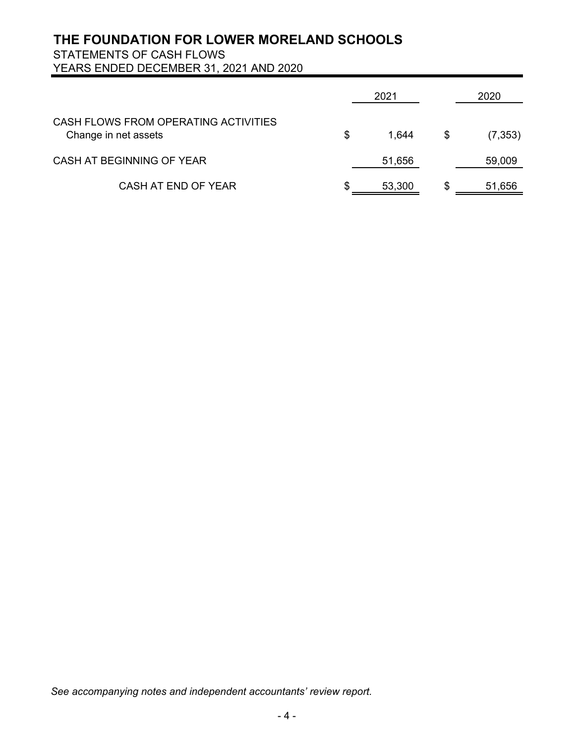### STATEMENTS OF CASH FLOWS YEARS ENDED DECEMBER 31, 2021 AND 2020

|                                                              |    | 2021   | 2020           |
|--------------------------------------------------------------|----|--------|----------------|
| CASH FLOWS FROM OPERATING ACTIVITIES<br>Change in net assets | \$ | 1.644  | \$<br>(7, 353) |
| CASH AT BEGINNING OF YEAR                                    |    | 51,656 | 59,009         |
| CASH AT END OF YEAR                                          | S  | 53,300 | \$<br>51,656   |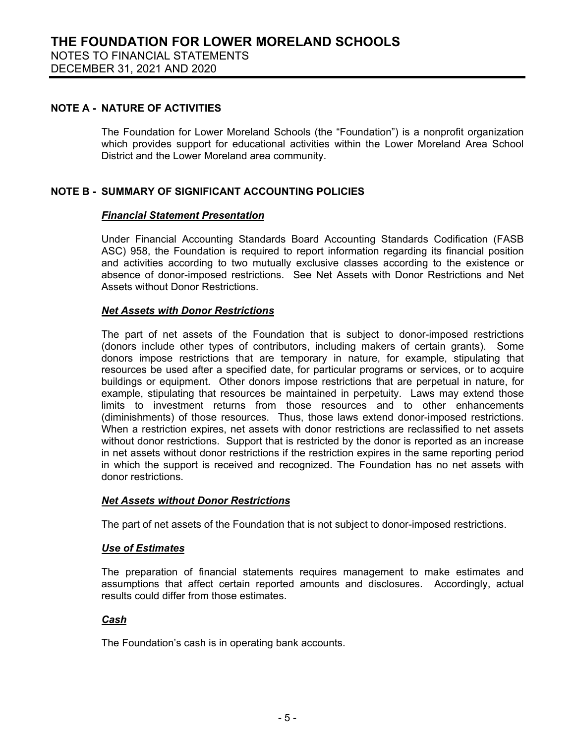#### **NOTE A - NATURE OF ACTIVITIES**

The Foundation for Lower Moreland Schools (the "Foundation") is a nonprofit organization which provides support for educational activities within the Lower Moreland Area School District and the Lower Moreland area community.

#### **NOTE B - SUMMARY OF SIGNIFICANT ACCOUNTING POLICIES**

#### *Financial Statement Presentation*

Under Financial Accounting Standards Board Accounting Standards Codification (FASB ASC) 958, the Foundation is required to report information regarding its financial position and activities according to two mutually exclusive classes according to the existence or absence of donor-imposed restrictions. See Net Assets with Donor Restrictions and Net Assets without Donor Restrictions.

#### *Net Assets with Donor Restrictions*

The part of net assets of the Foundation that is subject to donor-imposed restrictions (donors include other types of contributors, including makers of certain grants). Some donors impose restrictions that are temporary in nature, for example, stipulating that resources be used after a specified date, for particular programs or services, or to acquire buildings or equipment. Other donors impose restrictions that are perpetual in nature, for example, stipulating that resources be maintained in perpetuity. Laws may extend those limits to investment returns from those resources and to other enhancements (diminishments) of those resources. Thus, those laws extend donor-imposed restrictions. When a restriction expires, net assets with donor restrictions are reclassified to net assets without donor restrictions. Support that is restricted by the donor is reported as an increase in net assets without donor restrictions if the restriction expires in the same reporting period in which the support is received and recognized. The Foundation has no net assets with donor restrictions.

#### *Net Assets without Donor Restrictions*

The part of net assets of the Foundation that is not subject to donor-imposed restrictions.

#### *Use of Estimates*

The preparation of financial statements requires management to make estimates and assumptions that affect certain reported amounts and disclosures. Accordingly, actual results could differ from those estimates.

#### *Cash*

The Foundation's cash is in operating bank accounts.